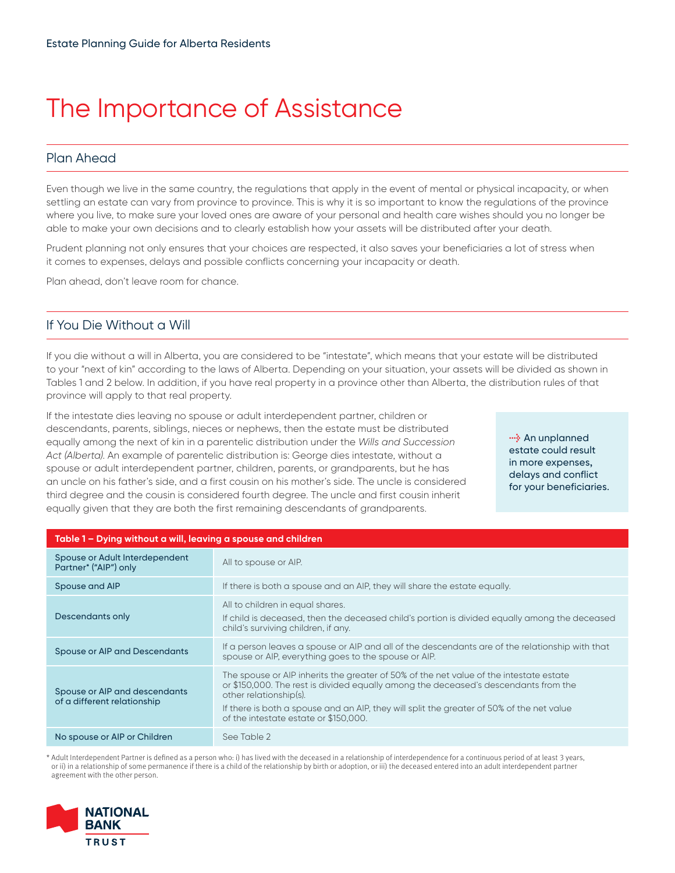# The Importance of Assistance

## Plan Ahead

Even though we live in the same country, the regulations that apply in the event of mental or physical incapacity, or when settling an estate can vary from province to province. This is why it is so important to know the regulations of the province where you live, to make sure your loved ones are aware of your personal and health care wishes should you no longer be able to make your own decisions and to clearly establish how your assets will be distributed after your death.

Prudent planning not only ensures that your choices are respected, it also saves your beneficiaries a lot of stress when it comes to expenses, delays and possible conflicts concerning your incapacity or death.

Plan ahead, don't leave room for chance.

### If You Die Without a Will

If you die without a will in Alberta, you are considered to be "intestate", which means that your estate will be distributed to your "next of kin" according to the laws of Alberta. Depending on your situation, your assets will be divided as shown in Tables 1 and 2 below. In addition, if you have real property in a province other than Alberta, the distribution rules of that province will apply to that real property.

If the intestate dies leaving no spouse or adult interdependent partner, children or descendants, parents, siblings, nieces or nephews, then the estate must be distributed equally among the next of kin in a parentelic distribution under the *Wills and Succession Act (Alberta)*. An example of parentelic distribution is: George dies intestate, without a spouse or adult interdependent partner, children, parents, or grandparents, but he has an uncle on his father's side, and a first cousin on his mother's side. The uncle is considered third degree and the cousin is considered fourth degree. The uncle and first cousin inherit equally given that they are both the first remaining descendants of grandparents.

*l* An unplanned estate could result in more expenses, delays and conflict for your beneficiaries.

| Table 1 – Dying without a will, leaving a spouse and children |                                                                                                                                                                                                                                                                                                                                               |  |
|---------------------------------------------------------------|-----------------------------------------------------------------------------------------------------------------------------------------------------------------------------------------------------------------------------------------------------------------------------------------------------------------------------------------------|--|
| Spouse or Adult Interdependent<br>Partner* ("AIP") only       | All to spouse or AIP.                                                                                                                                                                                                                                                                                                                         |  |
| Spouse and AIP                                                | If there is both a spouse and an AIP, they will share the estate equally.                                                                                                                                                                                                                                                                     |  |
| Descendants only                                              | All to children in equal shares.<br>If child is deceased, then the deceased child's portion is divided equally among the deceased<br>child's surviving children, if any.                                                                                                                                                                      |  |
| <b>Spouse or AIP and Descendants</b>                          | If a person leaves a spouse or AIP and all of the descendants are of the relationship with that<br>spouse or AIP, everything goes to the spouse or AIP.                                                                                                                                                                                       |  |
| Spouse or AIP and descendants<br>of a different relationship  | The spouse or AIP inherits the greater of 50% of the net value of the intestate estate<br>or \$150,000. The rest is divided equally among the deceased's descendants from the<br>other relationship(s).<br>If there is both a spouse and an AIP, they will split the greater of 50% of the net value<br>of the intestate estate or \$150,000. |  |
| No spouse or AIP or Children                                  | See Table 2                                                                                                                                                                                                                                                                                                                                   |  |

\* Adult Interdependent Partner is defined as a person who: i) has lived with the deceased in a relationship of interdependence for a continuous period of at least 3 years, or ii) in a relationship of some permanence if there is a child of the relationship by birth or adoption, or iii) the deceased entered into an adult interdependent partner agreement with the other person.

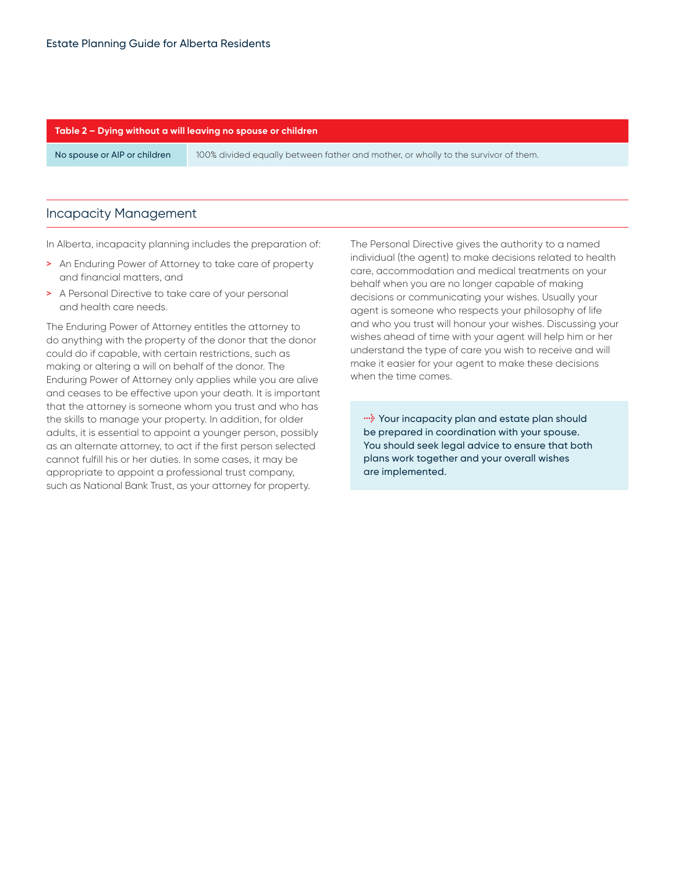**Table 2 – Dying without a will leaving no spouse or children**

No spouse or AIP or children 100% divided equally between father and mother, or wholly to the survivor of them.

#### Incapacity Management

In Alberta, incapacity planning includes the preparation of:

- > An Enduring Power of Attorney to take care of property and financial matters, and
- > A Personal Directive to take care of your personal and health care needs.

The Enduring Power of Attorney entitles the attorney to do anything with the property of the donor that the donor could do if capable, with certain restrictions, such as making or altering a will on behalf of the donor. The Enduring Power of Attorney only applies while you are alive and ceases to be effective upon your death. It is important that the attorney is someone whom you trust and who has the skills to manage your property. In addition, for older adults, it is essential to appoint a younger person, possibly as an alternate attorney, to act if the first person selected cannot fulfill his or her duties. In some cases, it may be appropriate to appoint a professional trust company, such as National Bank Trust, as your attorney for property.

The Personal Directive gives the authority to a named individual (the agent) to make decisions related to health care, accommodation and medical treatments on your behalf when you are no longer capable of making decisions or communicating your wishes. Usually your agent is someone who respects your philosophy of life and who you trust will honour your wishes. Discussing your wishes ahead of time with your agent will help him or her understand the type of care you wish to receive and will make it easier for your agent to make these decisions when the time comes.

**<sup>11</sup>** Your incapacity plan and estate plan should be prepared in coordination with your spouse. You should seek legal advice to ensure that both plans work together and your overall wishes are implemented.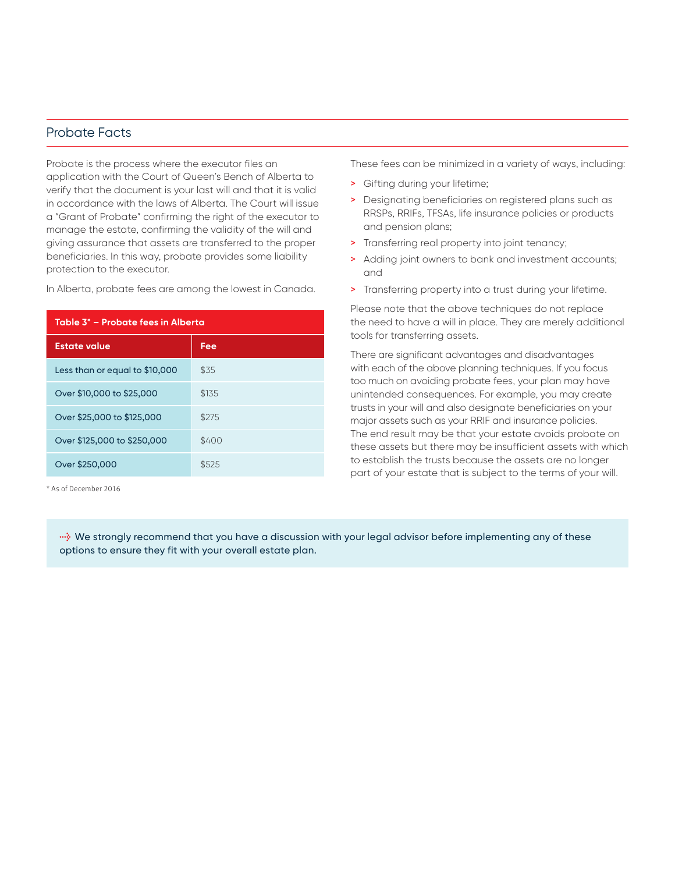#### Probate Facts

Probate is the process where the executor files an application with the Court of Queen's Bench of Alberta to verify that the document is your last will and that it is valid in accordance with the laws of Alberta. The Court will issue a "Grant of Probate" confirming the right of the executor to manage the estate, confirming the validity of the will and giving assurance that assets are transferred to the proper beneficiaries. In this way, probate provides some liability protection to the executor.

In Alberta, probate fees are among the lowest in Canada.

| Table 3* – Probate fees in Alberta |       |  |
|------------------------------------|-------|--|
| <b>Estate value</b>                | Fee   |  |
| Less than or equal to \$10,000     | \$35  |  |
| Over \$10,000 to \$25,000          | \$135 |  |
| Over \$25,000 to \$125,000         | \$275 |  |
| Over \$125,000 to \$250,000        | \$400 |  |
| Over \$250,000                     | \$525 |  |

\* As of December 2016

These fees can be minimized in a variety of ways, including:

- > Gifting during your lifetime;
- > Designating beneficiaries on registered plans such as RRSPs, RRIFs, TFSAs, life insurance policies or products and pension plans;
- > Transferring real property into joint tenancy;
- > Adding joint owners to bank and investment accounts; and
- > Transferring property into a trust during your lifetime.

Please note that the above techniques do not replace the need to have a will in place. They are merely additional tools for transferring assets.

There are significant advantages and disadvantages with each of the above planning techniques. If you focus too much on avoiding probate fees, your plan may have unintended consequences. For example, you may create trusts in your will and also designate beneficiaries on your major assets such as your RRIF and insurance policies. The end result may be that your estate avoids probate on these assets but there may be insufficient assets with which to establish the trusts because the assets are no longer part of your estate that is subject to the terms of your will.

**l** we strongly recommend that you have a discussion with your legal advisor before implementing any of these options to ensure they fit with your overall estate plan.